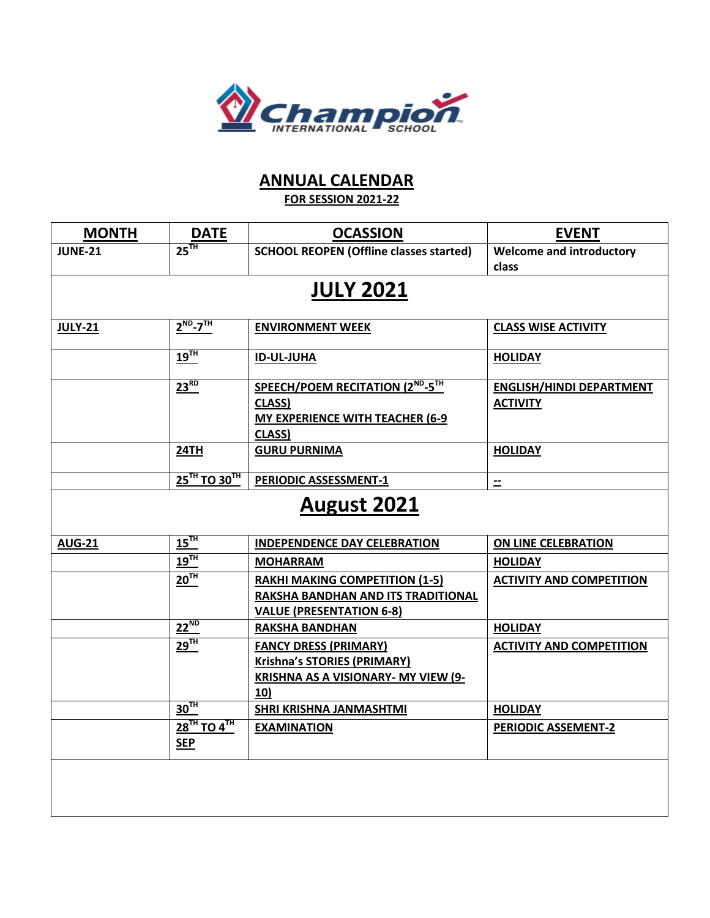

## **ANNUAL CALENDAR**

**FOR SESSION 2021-22**

| <b>MONTH</b>                        | $rac{\text{DATE}}{25^{TH}}$                           | <b>OCASSION</b>                                                                                                         | <b>EVENT</b>                                       |  |  |  |  |
|-------------------------------------|-------------------------------------------------------|-------------------------------------------------------------------------------------------------------------------------|----------------------------------------------------|--|--|--|--|
| <b>JUNE-21</b>                      |                                                       | <b>SCHOOL REOPEN (Offline classes started)</b>                                                                          | <b>Welcome and introductory</b><br>class           |  |  |  |  |
| <b>JULY 2021</b>                    |                                                       |                                                                                                                         |                                                    |  |  |  |  |
| $2^{ND} - 7^{TH}$<br><b>JULY-21</b> |                                                       | <b>ENVIRONMENT WEEK</b>                                                                                                 | <b>CLASS WISE ACTIVITY</b>                         |  |  |  |  |
|                                     | $19$ <sup>TH</sup>                                    | <b>ID-UL-JUHA</b>                                                                                                       | <b>HOLIDAY</b>                                     |  |  |  |  |
|                                     | $23^{RD}$                                             | SPEECH/POEM RECITATION (2 <sup>ND</sup> -5 <sup>TH</sup><br>CLASS)<br><b>MY EXPERIENCE WITH TEACHER (6-9)</b><br>CLASS) | <b>ENGLISH/HINDI DEPARTMENT</b><br><b>ACTIVITY</b> |  |  |  |  |
|                                     | 24TH                                                  | <b>GURU PURNIMA</b>                                                                                                     | <b>HOLIDAY</b>                                     |  |  |  |  |
|                                     | 25TH TO 30TH                                          | <b>PERIODIC ASSESSMENT-1</b>                                                                                            | $\equiv$                                           |  |  |  |  |
| August 2021                         |                                                       |                                                                                                                         |                                                    |  |  |  |  |
| <b>AUG-21</b>                       | $15$ <sup>TH</sup>                                    | <b>INDEPENDENCE DAY CELEBRATION</b>                                                                                     | ON LINE CELEBRATION                                |  |  |  |  |
|                                     | $19$ <sup>TH</sup>                                    | <b>MOHARRAM</b>                                                                                                         | <b>HOLIDAY</b>                                     |  |  |  |  |
|                                     | 20 <sup>TH</sup>                                      | <b>RAKHI MAKING COMPETITION (1-5)</b><br>RAKSHA BANDHAN AND ITS TRADITIONAL<br><b>VALUE (PRESENTATION 6-8)</b>          | <b>ACTIVITY AND COMPETITION</b>                    |  |  |  |  |
|                                     | $22^{ND}$                                             | <b>RAKSHA BANDHAN</b>                                                                                                   | <b>HOLIDAY</b>                                     |  |  |  |  |
|                                     | $29$ <sup>TH</sup>                                    | <b>FANCY DRESS (PRIMARY)</b><br><b>Krishna's STORIES (PRIMARY)</b><br><b>KRISHNA AS A VISIONARY- MY VIEW (9-</b><br>10) | <b>ACTIVITY AND COMPETITION</b>                    |  |  |  |  |
|                                     | 30 <sup>TH</sup>                                      | <b>SHRI KRISHNA JANMASHTMI</b>                                                                                          | <b>HOLIDAY</b>                                     |  |  |  |  |
|                                     | $28$ <sup>TH</sup> TO $4$ <sup>TH</sup><br><b>SEP</b> | <b>EXAMINATION</b>                                                                                                      | <b>PERIODIC ASSEMENT-2</b>                         |  |  |  |  |
|                                     |                                                       |                                                                                                                         |                                                    |  |  |  |  |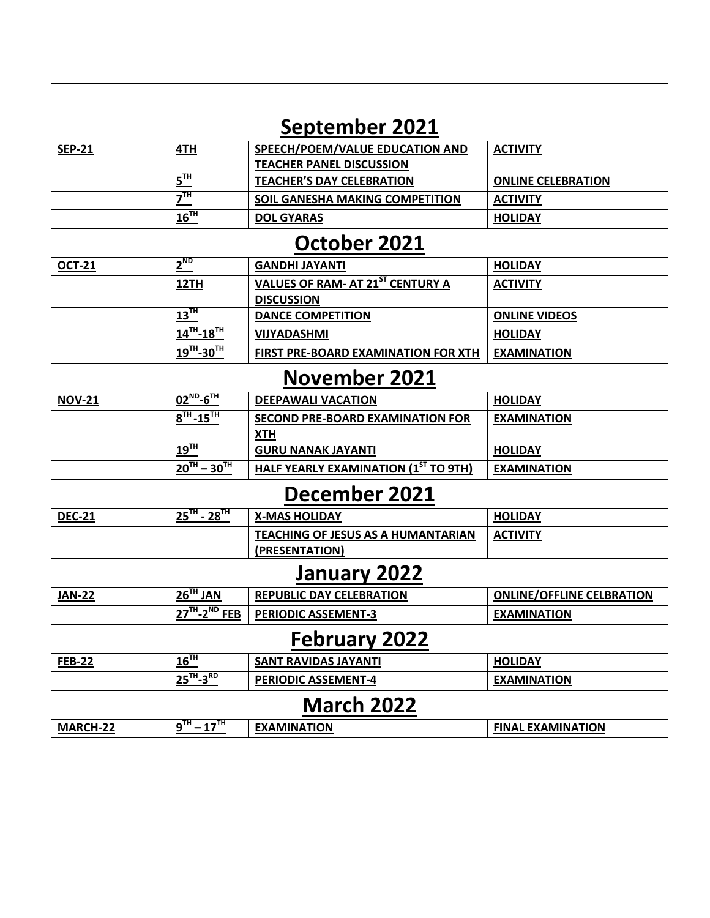| <u>September 2021</u> |                                                       |                                                       |                                  |  |  |  |  |
|-----------------------|-------------------------------------------------------|-------------------------------------------------------|----------------------------------|--|--|--|--|
| <b>SEP-21</b>         | 4TH                                                   | SPEECH/POEM/VALUE EDUCATION AND                       | <b>ACTIVITY</b>                  |  |  |  |  |
|                       |                                                       | <b>TEACHER PANEL DISCUSSION</b>                       |                                  |  |  |  |  |
|                       | $5^{\text{th}}$                                       | <b>TEACHER'S DAY CELEBRATION</b>                      | <b>ONLINE CELEBRATION</b>        |  |  |  |  |
|                       | $\overline{Z}^{\overline{1}\overline{1}\overline{1}}$ | SOIL GANESHA MAKING COMPETITION                       | <b>ACTIVITY</b>                  |  |  |  |  |
|                       | $16$ <sup>TH</sup>                                    | <b>DOL GYARAS</b>                                     | <b>HOLIDAY</b>                   |  |  |  |  |
| October 2021          |                                                       |                                                       |                                  |  |  |  |  |
| <b>OCT-21</b>         | $2^{ND}$                                              | <b>GANDHI JAYANTI</b>                                 | <b>HOLIDAY</b>                   |  |  |  |  |
|                       | 12TH                                                  | <b>VALUES OF RAM- AT 21ST CENTURY A</b>               | <b>ACTIVITY</b>                  |  |  |  |  |
|                       |                                                       | <b>DISCUSSION</b>                                     |                                  |  |  |  |  |
|                       | $13$ <sup>TH</sup>                                    | <b>DANCE COMPETITION</b>                              | <b>ONLINE VIDEOS</b>             |  |  |  |  |
|                       | $14^{TH} - 18^{TH}$                                   | <b>VIJYADASHMI</b>                                    | <b>HOLIDAY</b>                   |  |  |  |  |
|                       | $19^{TH} - 30^{TH}$                                   | FIRST PRE-BOARD EXAMINATION FOR XTH                   | <b>EXAMINATION</b>               |  |  |  |  |
| <b>November 2021</b>  |                                                       |                                                       |                                  |  |  |  |  |
| <b>NOV-21</b>         | $02^{ND} - 6^{TH}$                                    | <b>DEEPAWALI VACATION</b>                             | <b>HOLIDAY</b>                   |  |  |  |  |
|                       | $8^{TH} - 15^{TH}$                                    | <b>SECOND PRE-BOARD EXAMINATION FOR</b><br><b>XTH</b> | <b>EXAMINATION</b>               |  |  |  |  |
|                       | $19$ <sup>TH</sup>                                    | <b>GURU NANAK JAYANTI</b>                             | <b>HOLIDAY</b>                   |  |  |  |  |
|                       | $20^{TH} - 30^{TH}$                                   | <b>HALF YEARLY EXAMINATION (1ST TO 9TH)</b>           | <b>EXAMINATION</b>               |  |  |  |  |
| December 2021         |                                                       |                                                       |                                  |  |  |  |  |
| <b>DEC-21</b>         | $25^{TH}$ - $28^{TH}$                                 | <b>X-MAS HOLIDAY</b>                                  | <b>HOLIDAY</b>                   |  |  |  |  |
|                       |                                                       | <b>TEACHING OF JESUS AS A HUMANTARIAN</b>             | <b>ACTIVITY</b>                  |  |  |  |  |
|                       |                                                       | (PRESENTATION)                                        |                                  |  |  |  |  |
| January 2022          |                                                       |                                                       |                                  |  |  |  |  |
| <b>JAN-22</b>         | $26TH$ JAN                                            | <b>REPUBLIC DAY CELEBRATION</b>                       | <b>ONLINE/OFFLINE CELBRATION</b> |  |  |  |  |
|                       | $27TH - 2ND FEB$                                      | <b>PERIODIC ASSEMENT-3</b>                            | <b>EXAMINATION</b>               |  |  |  |  |
| <b>February 2022</b>  |                                                       |                                                       |                                  |  |  |  |  |
| <b>FEB-22</b>         | 16 <sup>TH</sup>                                      | <b>SANT RAVIDAS JAYANTI</b>                           | <b>HOLIDAY</b>                   |  |  |  |  |
|                       | $25$ <sup>TH</sup> -3 <sup>RD</sup>                   | <b>PERIODIC ASSEMENT-4</b>                            | <b>EXAMINATION</b>               |  |  |  |  |
| <u>March 2022</u>     |                                                       |                                                       |                                  |  |  |  |  |
| <b>MARCH-22</b>       | $9^{TH} - 17^{TH}$                                    | <b>EXAMINATION</b>                                    | <b>FINAL EXAMINATION</b>         |  |  |  |  |